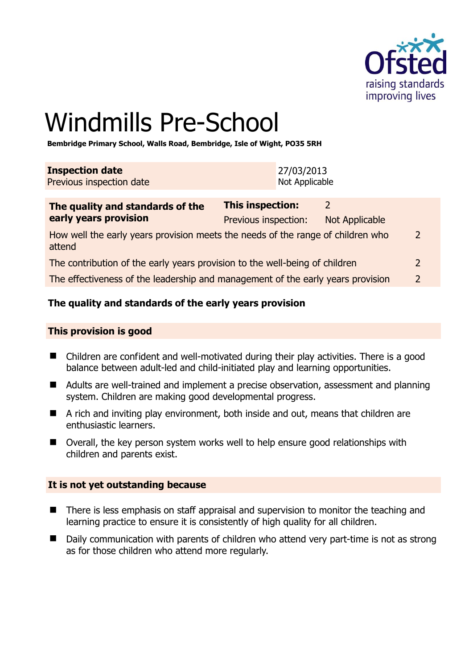

# Windmills Pre-School

**Bembridge Primary School, Walls Road, Bembridge, Isle of Wight, PO35 5RH** 

| <b>Inspection date</b>          | 27/03/2013     |
|---------------------------------|----------------|
| <b>Previous inspection date</b> | Not Applicable |

| The quality and standards of the<br>early years provision                                 | <b>This inspection:</b> |                |                          |
|-------------------------------------------------------------------------------------------|-------------------------|----------------|--------------------------|
|                                                                                           | Previous inspection:    | Not Applicable |                          |
| How well the early years provision meets the needs of the range of children who<br>attend |                         |                | $\mathcal{P}$            |
| The contribution of the early years provision to the well-being of children               |                         |                | $\overline{2}$           |
| The effectiveness of the leadership and management of the early years provision           |                         |                | $\overline{\phantom{a}}$ |

#### **The quality and standards of the early years provision**

#### **This provision is good**

- Children are confident and well-motivated during their play activities. There is a good balance between adult-led and child-initiated play and learning opportunities.
- Adults are well-trained and implement a precise observation, assessment and planning system. Children are making good developmental progress.
- $\blacksquare$  A rich and inviting play environment, both inside and out, means that children are enthusiastic learners.
- Overall, the key person system works well to help ensure good relationships with children and parents exist.

#### **It is not yet outstanding because**

- There is less emphasis on staff appraisal and supervision to monitor the teaching and learning practice to ensure it is consistently of high quality for all children.
- Daily communication with parents of children who attend very part-time is not as strong as for those children who attend more regularly.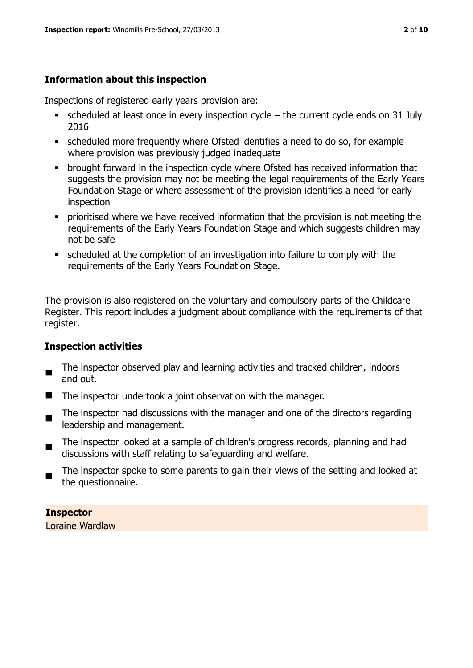### **Information about this inspection**

Inspections of registered early years provision are:

- $\bullet$  scheduled at least once in every inspection cycle the current cycle ends on 31 July 2016
- scheduled more frequently where Ofsted identifies a need to do so, for example where provision was previously judged inadequate
- **•** brought forward in the inspection cycle where Ofsted has received information that suggests the provision may not be meeting the legal requirements of the Early Years Foundation Stage or where assessment of the provision identifies a need for early inspection
- **•** prioritised where we have received information that the provision is not meeting the requirements of the Early Years Foundation Stage and which suggests children may not be safe
- scheduled at the completion of an investigation into failure to comply with the requirements of the Early Years Foundation Stage.

The provision is also registered on the voluntary and compulsory parts of the Childcare Register. This report includes a judgment about compliance with the requirements of that register.

#### **Inspection activities**

- The inspector observed play and learning activities and tracked children, indoors and out.
- The inspector undertook a joint observation with the manager.
- $\blacksquare$ The inspector had discussions with the manager and one of the directors regarding leadership and management.
- The inspector looked at a sample of children's progress records, planning and had discussions with staff relating to safeguarding and welfare.
- The inspector spoke to some parents to gain their views of the setting and looked at the questionnaire.

**Inspector** 

Loraine Wardlaw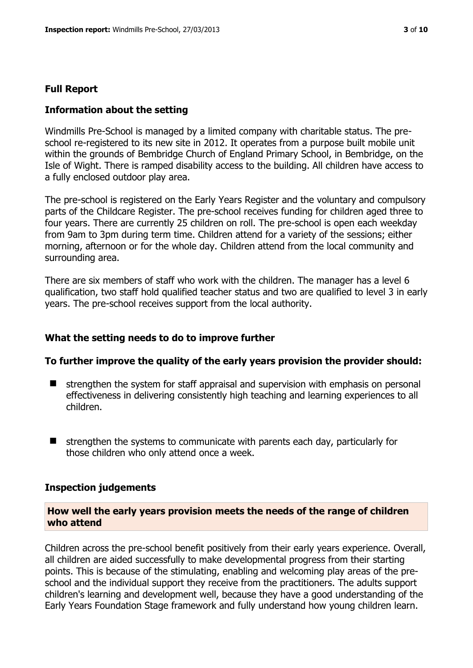#### **Full Report**

#### **Information about the setting**

Windmills Pre-School is managed by a limited company with charitable status. The preschool re-registered to its new site in 2012. It operates from a purpose built mobile unit within the grounds of Bembridge Church of England Primary School, in Bembridge, on the Isle of Wight. There is ramped disability access to the building. All children have access to a fully enclosed outdoor play area.

The pre-school is registered on the Early Years Register and the voluntary and compulsory parts of the Childcare Register. The pre-school receives funding for children aged three to four years. There are currently 25 children on roll. The pre-school is open each weekday from 9am to 3pm during term time. Children attend for a variety of the sessions; either morning, afternoon or for the whole day. Children attend from the local community and surrounding area.

There are six members of staff who work with the children. The manager has a level 6 qualification, two staff hold qualified teacher status and two are qualified to level 3 in early years. The pre-school receives support from the local authority.

#### **What the setting needs to do to improve further**

#### **To further improve the quality of the early years provision the provider should:**

- $\blacksquare$  strengthen the system for staff appraisal and supervision with emphasis on personal effectiveness in delivering consistently high teaching and learning experiences to all children.
- $\blacksquare$  strengthen the systems to communicate with parents each day, particularly for those children who only attend once a week.

#### **Inspection judgements**

#### **How well the early years provision meets the needs of the range of children who attend**

Children across the pre-school benefit positively from their early years experience. Overall, all children are aided successfully to make developmental progress from their starting points. This is because of the stimulating, enabling and welcoming play areas of the preschool and the individual support they receive from the practitioners. The adults support children's learning and development well, because they have a good understanding of the Early Years Foundation Stage framework and fully understand how young children learn.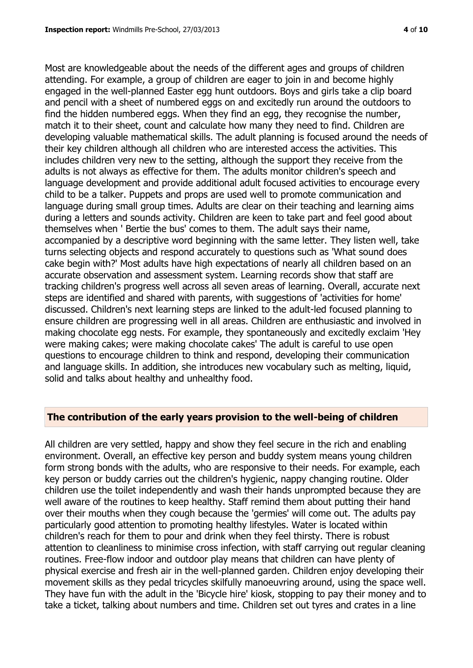Most are knowledgeable about the needs of the different ages and groups of children attending. For example, a group of children are eager to join in and become highly engaged in the well-planned Easter egg hunt outdoors. Boys and girls take a clip board and pencil with a sheet of numbered eggs on and excitedly run around the outdoors to find the hidden numbered eggs. When they find an egg, they recognise the number, match it to their sheet, count and calculate how many they need to find. Children are developing valuable mathematical skills. The adult planning is focused around the needs of their key children although all children who are interested access the activities. This includes children very new to the setting, although the support they receive from the adults is not always as effective for them. The adults monitor children's speech and language development and provide additional adult focused activities to encourage every child to be a talker. Puppets and props are used well to promote communication and language during small group times. Adults are clear on their teaching and learning aims during a letters and sounds activity. Children are keen to take part and feel good about themselves when ' Bertie the bus' comes to them. The adult says their name, accompanied by a descriptive word beginning with the same letter. They listen well, take turns selecting objects and respond accurately to questions such as 'What sound does cake begin with?' Most adults have high expectations of nearly all children based on an accurate observation and assessment system. Learning records show that staff are tracking children's progress well across all seven areas of learning. Overall, accurate next steps are identified and shared with parents, with suggestions of 'activities for home' discussed. Children's next learning steps are linked to the adult-led focused planning to ensure children are progressing well in all areas. Children are enthusiastic and involved in making chocolate egg nests. For example, they spontaneously and excitedly exclaim 'Hey were making cakes; were making chocolate cakes' The adult is careful to use open questions to encourage children to think and respond, developing their communication and language skills. In addition, she introduces new vocabulary such as melting, liquid, solid and talks about healthy and unhealthy food.

#### **The contribution of the early years provision to the well-being of children**

All children are very settled, happy and show they feel secure in the rich and enabling environment. Overall, an effective key person and buddy system means young children form strong bonds with the adults, who are responsive to their needs. For example, each key person or buddy carries out the children's hygienic, nappy changing routine. Older children use the toilet independently and wash their hands unprompted because they are well aware of the routines to keep healthy. Staff remind them about putting their hand over their mouths when they cough because the 'germies' will come out. The adults pay particularly good attention to promoting healthy lifestyles. Water is located within children's reach for them to pour and drink when they feel thirsty. There is robust attention to cleanliness to minimise cross infection, with staff carrying out regular cleaning routines. Free-flow indoor and outdoor play means that children can have plenty of physical exercise and fresh air in the well-planned garden. Children enjoy developing their movement skills as they pedal tricycles skilfully manoeuvring around, using the space well. They have fun with the adult in the 'Bicycle hire' kiosk, stopping to pay their money and to take a ticket, talking about numbers and time. Children set out tyres and crates in a line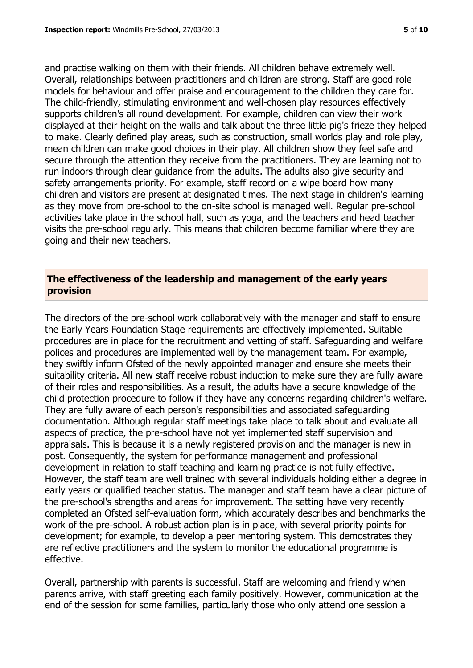and practise walking on them with their friends. All children behave extremely well. Overall, relationships between practitioners and children are strong. Staff are good role models for behaviour and offer praise and encouragement to the children they care for. The child-friendly, stimulating environment and well-chosen play resources effectively supports children's all round development. For example, children can view their work displayed at their height on the walls and talk about the three little pig's frieze they helped to make. Clearly defined play areas, such as construction, small worlds play and role play, mean children can make good choices in their play. All children show they feel safe and secure through the attention they receive from the practitioners. They are learning not to run indoors through clear guidance from the adults. The adults also give security and safety arrangements priority. For example, staff record on a wipe board how many children and visitors are present at designated times. The next stage in children's learning as they move from pre-school to the on-site school is managed well. Regular pre-school activities take place in the school hall, such as yoga, and the teachers and head teacher visits the pre-school regularly. This means that children become familiar where they are going and their new teachers.

#### **The effectiveness of the leadership and management of the early years provision**

The directors of the pre-school work collaboratively with the manager and staff to ensure the Early Years Foundation Stage requirements are effectively implemented. Suitable procedures are in place for the recruitment and vetting of staff. Safeguarding and welfare polices and procedures are implemented well by the management team. For example, they swiftly inform Ofsted of the newly appointed manager and ensure she meets their suitability criteria. All new staff receive robust induction to make sure they are fully aware of their roles and responsibilities. As a result, the adults have a secure knowledge of the child protection procedure to follow if they have any concerns regarding children's welfare. They are fully aware of each person's responsibilities and associated safeguarding documentation. Although regular staff meetings take place to talk about and evaluate all aspects of practice, the pre-school have not yet implemented staff supervision and appraisals. This is because it is a newly registered provision and the manager is new in post. Consequently, the system for performance management and professional development in relation to staff teaching and learning practice is not fully effective. However, the staff team are well trained with several individuals holding either a degree in early years or qualified teacher status. The manager and staff team have a clear picture of the pre-school's strengths and areas for improvement. The setting have very recently completed an Ofsted self-evaluation form, which accurately describes and benchmarks the work of the pre-school. A robust action plan is in place, with several priority points for development; for example, to develop a peer mentoring system. This demostrates they are reflective practitioners and the system to monitor the educational programme is effective.

Overall, partnership with parents is successful. Staff are welcoming and friendly when parents arrive, with staff greeting each family positively. However, communication at the end of the session for some families, particularly those who only attend one session a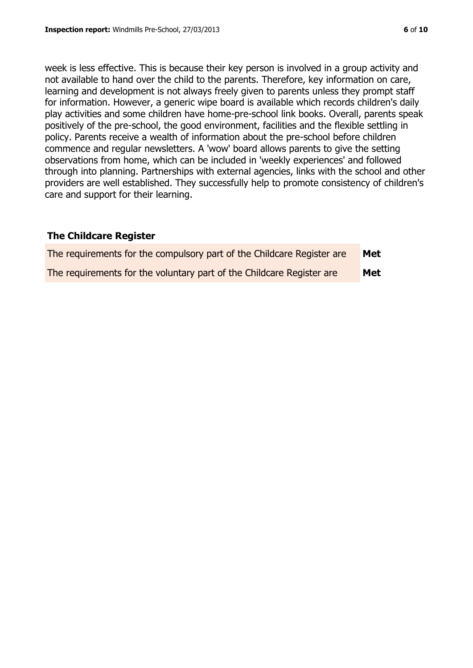week is less effective. This is because their key person is involved in a group activity and not available to hand over the child to the parents. Therefore, key information on care, learning and development is not always freely given to parents unless they prompt staff for information. However, a generic wipe board is available which records children's daily play activities and some children have home-pre-school link books. Overall, parents speak positively of the pre-school, the good environment, facilities and the flexible settling in policy. Parents receive a wealth of information about the pre-school before children commence and regular newsletters. A 'wow' board allows parents to give the setting observations from home, which can be included in 'weekly experiences' and followed through into planning. Partnerships with external agencies, links with the school and other providers are well established. They successfully help to promote consistency of children's care and support for their learning.

#### **The Childcare Register**

| The requirements for the compulsory part of the Childcare Register are | <b>Met</b> |
|------------------------------------------------------------------------|------------|
| The requirements for the voluntary part of the Childcare Register are  | <b>Met</b> |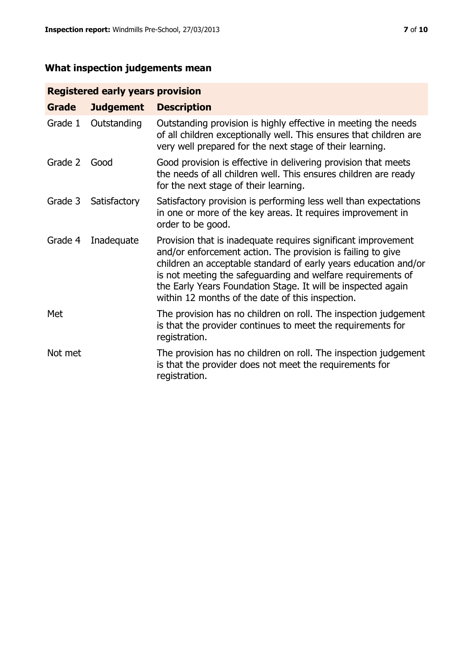# **What inspection judgements mean**

# **Registered early years provision**

| <b>Grade</b> | <b>Judgement</b> | <b>Description</b>                                                                                                                                                                                                                                                                                                                                                                 |
|--------------|------------------|------------------------------------------------------------------------------------------------------------------------------------------------------------------------------------------------------------------------------------------------------------------------------------------------------------------------------------------------------------------------------------|
| Grade 1      | Outstanding      | Outstanding provision is highly effective in meeting the needs<br>of all children exceptionally well. This ensures that children are<br>very well prepared for the next stage of their learning.                                                                                                                                                                                   |
| Grade 2      | Good             | Good provision is effective in delivering provision that meets<br>the needs of all children well. This ensures children are ready<br>for the next stage of their learning.                                                                                                                                                                                                         |
| Grade 3      | Satisfactory     | Satisfactory provision is performing less well than expectations<br>in one or more of the key areas. It requires improvement in<br>order to be good.                                                                                                                                                                                                                               |
| Grade 4      | Inadequate       | Provision that is inadequate requires significant improvement<br>and/or enforcement action. The provision is failing to give<br>children an acceptable standard of early years education and/or<br>is not meeting the safeguarding and welfare requirements of<br>the Early Years Foundation Stage. It will be inspected again<br>within 12 months of the date of this inspection. |
| Met          |                  | The provision has no children on roll. The inspection judgement<br>is that the provider continues to meet the requirements for<br>registration.                                                                                                                                                                                                                                    |
| Not met      |                  | The provision has no children on roll. The inspection judgement<br>is that the provider does not meet the requirements for<br>registration.                                                                                                                                                                                                                                        |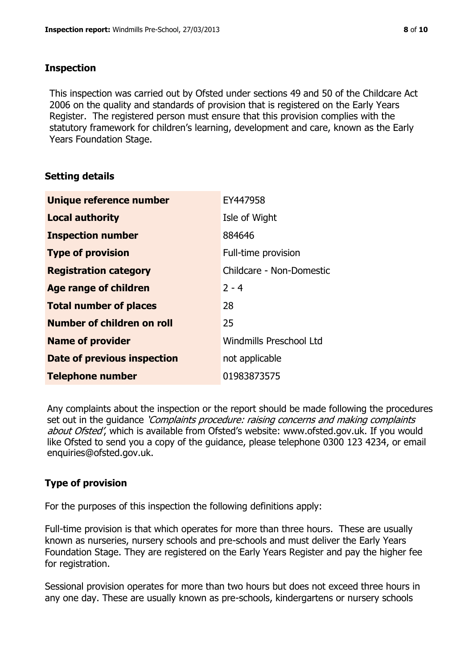#### **Inspection**

This inspection was carried out by Ofsted under sections 49 and 50 of the Childcare Act 2006 on the quality and standards of provision that is registered on the Early Years Register. The registered person must ensure that this provision complies with the statutory framework for children's learning, development and care, known as the Early Years Foundation Stage.

#### **Setting details**

| Unique reference number           | EY447958                 |
|-----------------------------------|--------------------------|
| <b>Local authority</b>            | Isle of Wight            |
| <b>Inspection number</b>          | 884646                   |
| <b>Type of provision</b>          | Full-time provision      |
| <b>Registration category</b>      | Childcare - Non-Domestic |
| <b>Age range of children</b>      | $2 - 4$                  |
| <b>Total number of places</b>     | 28                       |
| <b>Number of children on roll</b> | 25                       |
| <b>Name of provider</b>           | Windmills Preschool Ltd  |
| Date of previous inspection       | not applicable           |
| <b>Telephone number</b>           | 01983873575              |

Any complaints about the inspection or the report should be made following the procedures set out in the guidance *'Complaints procedure: raising concerns and making complaints* about Ofsted', which is available from Ofsted's website: www.ofsted.gov.uk. If you would like Ofsted to send you a copy of the guidance, please telephone 0300 123 4234, or email enquiries@ofsted.gov.uk.

## **Type of provision**

For the purposes of this inspection the following definitions apply:

Full-time provision is that which operates for more than three hours. These are usually known as nurseries, nursery schools and pre-schools and must deliver the Early Years Foundation Stage. They are registered on the Early Years Register and pay the higher fee for registration.

Sessional provision operates for more than two hours but does not exceed three hours in any one day. These are usually known as pre-schools, kindergartens or nursery schools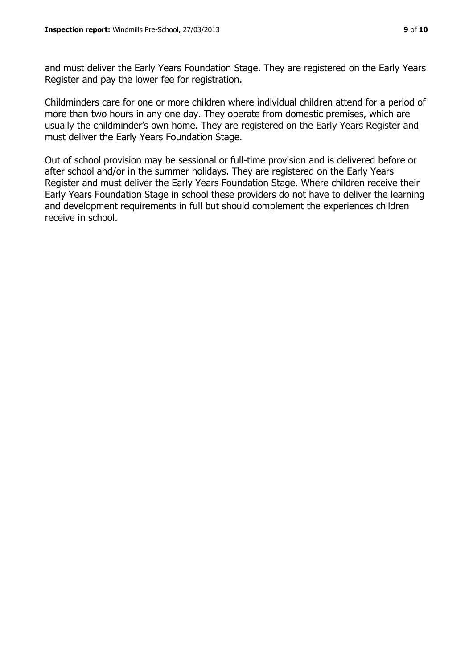and must deliver the Early Years Foundation Stage. They are registered on the Early Years Register and pay the lower fee for registration.

Childminders care for one or more children where individual children attend for a period of more than two hours in any one day. They operate from domestic premises, which are usually the childminder's own home. They are registered on the Early Years Register and must deliver the Early Years Foundation Stage.

Out of school provision may be sessional or full-time provision and is delivered before or after school and/or in the summer holidays. They are registered on the Early Years Register and must deliver the Early Years Foundation Stage. Where children receive their Early Years Foundation Stage in school these providers do not have to deliver the learning and development requirements in full but should complement the experiences children receive in school.